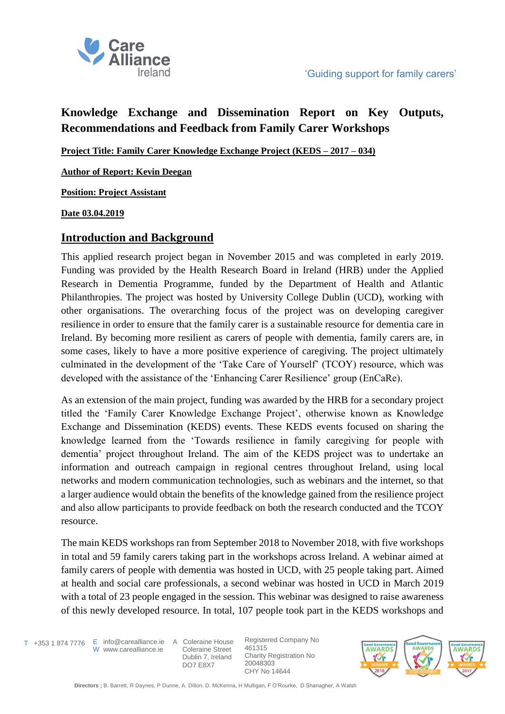

# **Knowledge Exchange and Dissemination Report on Key Outputs, Recommendations and Feedback from Family Carer Workshops**

**Project Title: Family Carer Knowledge Exchange Project (KEDS – 2017 – 034)**

**Author of Report: Kevin Deegan**

**Position: Project Assistant** 

**Date 03.04.2019**

### **Introduction and Background**

This applied research project began in November 2015 and was completed in early 2019. Funding was provided by the Health Research Board in Ireland (HRB) under the Applied Research in Dementia Programme, funded by the Department of Health and Atlantic Philanthropies. The project was hosted by University College Dublin (UCD), working with other organisations. The overarching focus of the project was on developing caregiver resilience in order to ensure that the family carer is a sustainable resource for dementia care in Ireland. By becoming more resilient as carers of people with dementia, family carers are, in some cases, likely to have a more positive experience of caregiving. The project ultimately culminated in the development of the 'Take Care of Yourself' (TCOY) resource, which was developed with the assistance of the 'Enhancing Carer Resilience' group (EnCaRe).

As an extension of the main project, funding was awarded by the HRB for a secondary project titled the 'Family Carer Knowledge Exchange Project', otherwise known as Knowledge Exchange and Dissemination (KEDS) events. These KEDS events focused on sharing the knowledge learned from the 'Towards resilience in family caregiving for people with dementia' project throughout Ireland. The aim of the KEDS project was to undertake an information and outreach campaign in regional centres throughout Ireland, using local networks and modern communication technologies, such as webinars and the internet, so that a larger audience would obtain the benefits of the knowledge gained from the resilience project and also allow participants to provide feedback on both the research conducted and the TCOY resource.

The main KEDS workshops ran from September 2018 to November 2018, with five workshops in total and 59 family carers taking part in the workshops across Ireland. A webinar aimed at family carers of people with dementia was hosted in UCD, with 25 people taking part. Aimed at health and social care professionals, a second webinar was hosted in UCD in March 2019 with a total of 23 people engaged in the session. This webinar was designed to raise awareness of this newly developed resource. In total, 107 people took part in the KEDS workshops and

T +353 1 874 7776 E info@carealliance.ie A Coleraine House W www.carealliance.ie

 Coleraine Street Dublin 7, Ireland DO7 E8X7

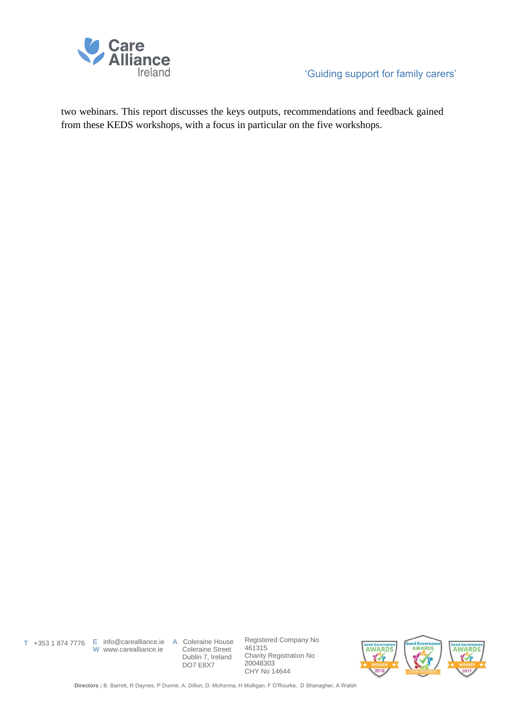

two webinars. This report discusses the keys outputs, recommendations and feedback gained from these KEDS workshops, with a focus in particular on the five workshops.

W www.carealliance.ie

T +353 1 874 7776 E info@carealliance.ie A Coleraine House Coleraine Street Dublin 7, Ireland DO7 E8X7

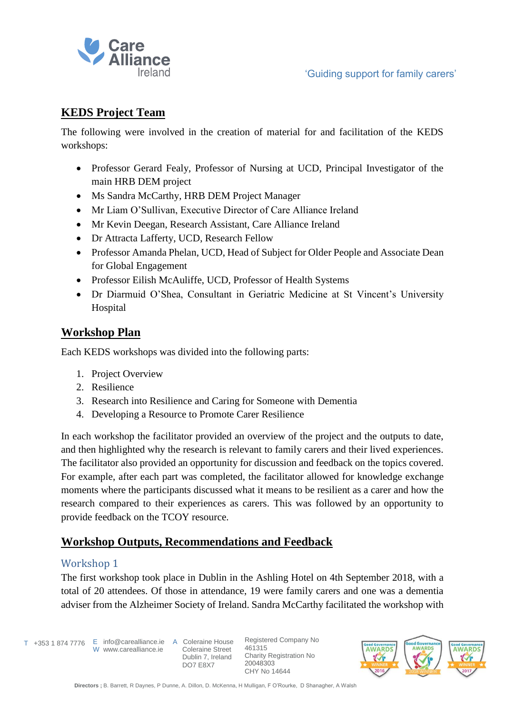

# **KEDS Project Team**

The following were involved in the creation of material for and facilitation of the KEDS workshops:

- Professor Gerard Fealy, Professor of Nursing at UCD, Principal Investigator of the main HRB DEM project
- Ms Sandra McCarthy, HRB DEM Project Manager
- Mr Liam O'Sullivan, Executive Director of Care Alliance Ireland
- Mr Kevin Deegan, Research Assistant, Care Alliance Ireland
- Dr Attracta Lafferty, UCD, Research Fellow
- Professor Amanda Phelan, UCD, Head of Subject for Older People and Associate Dean for Global Engagement
- Professor Eilish McAuliffe, UCD, Professor of Health Systems
- Dr Diarmuid O'Shea, Consultant in Geriatric Medicine at St Vincent's University Hospital

### **Workshop Plan**

Each KEDS workshops was divided into the following parts:

- 1. Project Overview
- 2. Resilience
- 3. Research into Resilience and Caring for Someone with Dementia
- 4. Developing a Resource to Promote Carer Resilience

In each workshop the facilitator provided an overview of the project and the outputs to date, and then highlighted why the research is relevant to family carers and their lived experiences. The facilitator also provided an opportunity for discussion and feedback on the topics covered. For example, after each part was completed, the facilitator allowed for knowledge exchange moments where the participants discussed what it means to be resilient as a carer and how the research compared to their experiences as carers. This was followed by an opportunity to provide feedback on the TCOY resource.

# **Workshop Outputs, Recommendations and Feedback**

### Workshop 1

The first workshop took place in Dublin in the Ashling Hotel on 4th September 2018, with a total of 20 attendees. Of those in attendance, 19 were family carers and one was a dementia adviser from the Alzheimer Society of Ireland. Sandra McCarthy facilitated the workshop with

T +353 1 874 7776 E info@carealliance.ie A Coleraine House

W www.carealliance.ie

 Coleraine Street Dublin 7, Ireland DO7 E8X7

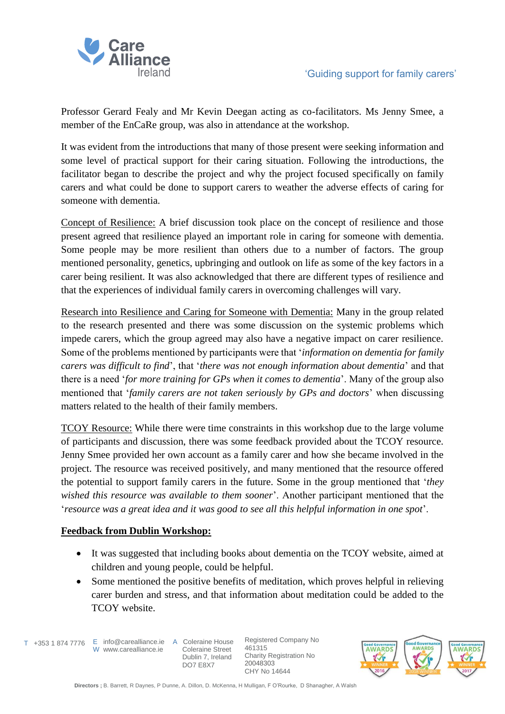

Professor Gerard Fealy and Mr Kevin Deegan acting as co-facilitators. Ms Jenny Smee, a member of the EnCaRe group, was also in attendance at the workshop.

It was evident from the introductions that many of those present were seeking information and some level of practical support for their caring situation. Following the introductions, the facilitator began to describe the project and why the project focused specifically on family carers and what could be done to support carers to weather the adverse effects of caring for someone with dementia.

Concept of Resilience: A brief discussion took place on the concept of resilience and those present agreed that resilience played an important role in caring for someone with dementia. Some people may be more resilient than others due to a number of factors. The group mentioned personality, genetics, upbringing and outlook on life as some of the key factors in a carer being resilient. It was also acknowledged that there are different types of resilience and that the experiences of individual family carers in overcoming challenges will vary.

Research into Resilience and Caring for Someone with Dementia: Many in the group related to the research presented and there was some discussion on the systemic problems which impede carers, which the group agreed may also have a negative impact on carer resilience. Some of the problems mentioned by participants were that '*information on dementia for family carers was difficult to find*', that '*there was not enough information about dementia*' and that there is a need '*for more training for GPs when it comes to dementia*'. Many of the group also mentioned that '*family carers are not taken seriously by GPs and doctors*' when discussing matters related to the health of their family members.

TCOY Resource: While there were time constraints in this workshop due to the large volume of participants and discussion, there was some feedback provided about the TCOY resource. Jenny Smee provided her own account as a family carer and how she became involved in the project. The resource was received positively, and many mentioned that the resource offered the potential to support family carers in the future. Some in the group mentioned that '*they wished this resource was available to them sooner*'. Another participant mentioned that the '*resource was a great idea and it was good to see all this helpful information in one spot*'.

#### **Feedback from Dublin Workshop:**

- It was suggested that including books about dementia on the TCOY website, aimed at children and young people, could be helpful.
- Some mentioned the positive benefits of meditation, which proves helpful in relieving carer burden and stress, and that information about meditation could be added to the TCOY website.

T +353 1 874 7776 E info@carealliance.ie A Coleraine House W www.carealliance.ie

 Coleraine Street Dublin 7, Ireland DO7 E8X7

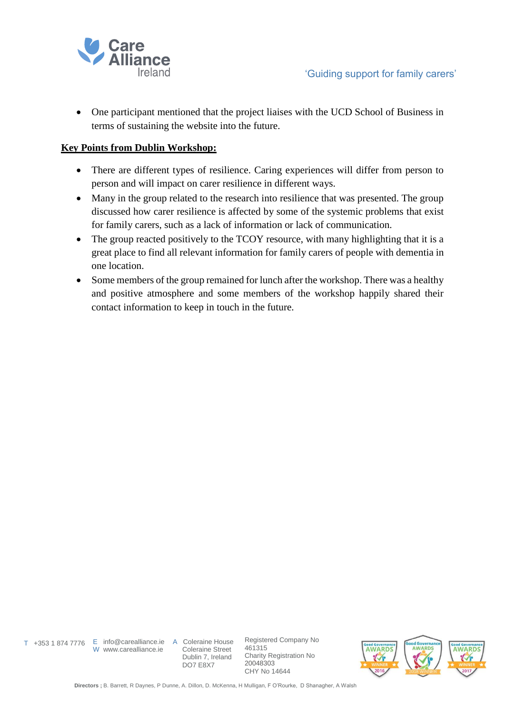

• One participant mentioned that the project liaises with the UCD School of Business in terms of sustaining the website into the future.

#### **Key Points from Dublin Workshop:**

- There are different types of resilience. Caring experiences will differ from person to person and will impact on carer resilience in different ways.
- Many in the group related to the research into resilience that was presented. The group discussed how carer resilience is affected by some of the systemic problems that exist for family carers, such as a lack of information or lack of communication.
- The group reacted positively to the TCOY resource, with many highlighting that it is a great place to find all relevant information for family carers of people with dementia in one location.
- Some members of the group remained for lunch after the workshop. There was a healthy and positive atmosphere and some members of the workshop happily shared their contact information to keep in touch in the future.

W www.carealliance.ie

T +353 1 874 7776 E info@carealliance.ie A Coleraine House Coleraine Street Dublin 7, Ireland DO7 E8X7

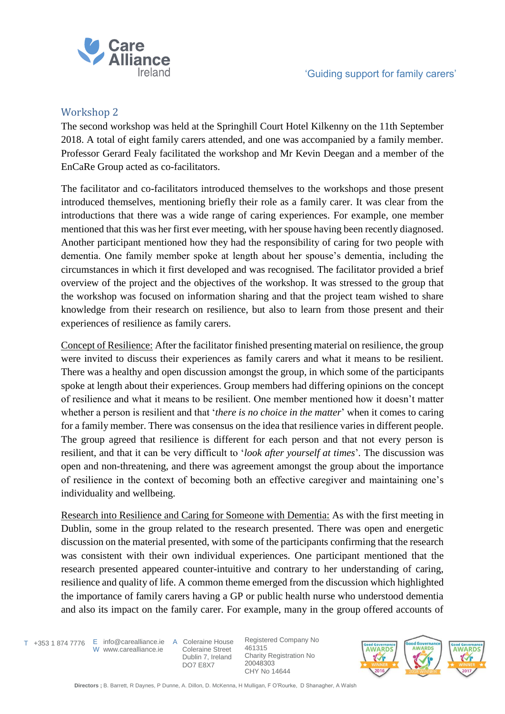

### Workshop 2

The second workshop was held at the Springhill Court Hotel Kilkenny on the 11th September 2018. A total of eight family carers attended, and one was accompanied by a family member. Professor Gerard Fealy facilitated the workshop and Mr Kevin Deegan and a member of the EnCaRe Group acted as co-facilitators.

The facilitator and co-facilitators introduced themselves to the workshops and those present introduced themselves, mentioning briefly their role as a family carer. It was clear from the introductions that there was a wide range of caring experiences. For example, one member mentioned that this was her first ever meeting, with her spouse having been recently diagnosed. Another participant mentioned how they had the responsibility of caring for two people with dementia. One family member spoke at length about her spouse's dementia, including the circumstances in which it first developed and was recognised. The facilitator provided a brief overview of the project and the objectives of the workshop. It was stressed to the group that the workshop was focused on information sharing and that the project team wished to share knowledge from their research on resilience, but also to learn from those present and their experiences of resilience as family carers.

Concept of Resilience: After the facilitator finished presenting material on resilience, the group were invited to discuss their experiences as family carers and what it means to be resilient. There was a healthy and open discussion amongst the group, in which some of the participants spoke at length about their experiences. Group members had differing opinions on the concept of resilience and what it means to be resilient. One member mentioned how it doesn't matter whether a person is resilient and that '*there is no choice in the matter*' when it comes to caring for a family member. There was consensus on the idea that resilience varies in different people. The group agreed that resilience is different for each person and that not every person is resilient, and that it can be very difficult to '*look after yourself at times*'*.* The discussion was open and non-threatening, and there was agreement amongst the group about the importance of resilience in the context of becoming both an effective caregiver and maintaining one's individuality and wellbeing.

Research into Resilience and Caring for Someone with Dementia: As with the first meeting in Dublin, some in the group related to the research presented. There was open and energetic discussion on the material presented, with some of the participants confirming that the research was consistent with their own individual experiences. One participant mentioned that the research presented appeared counter-intuitive and contrary to her understanding of caring, resilience and quality of life. A common theme emerged from the discussion which highlighted the importance of family carers having a GP or public health nurse who understood dementia and also its impact on the family carer. For example, many in the group offered accounts of

T +353 1 874 7776 E info@carealliance.ie A Coleraine House W www.carealliance.ie

 Coleraine Street Dublin 7, Ireland DO7 E8X7

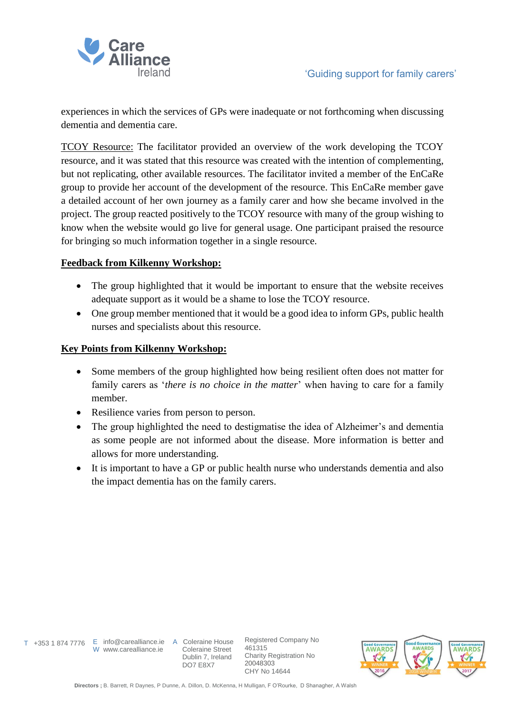

experiences in which the services of GPs were inadequate or not forthcoming when discussing dementia and dementia care.

TCOY Resource: The facilitator provided an overview of the work developing the TCOY resource, and it was stated that this resource was created with the intention of complementing, but not replicating, other available resources. The facilitator invited a member of the EnCaRe group to provide her account of the development of the resource. This EnCaRe member gave a detailed account of her own journey as a family carer and how she became involved in the project. The group reacted positively to the TCOY resource with many of the group wishing to know when the website would go live for general usage. One participant praised the resource for bringing so much information together in a single resource.

#### **Feedback from Kilkenny Workshop:**

- The group highlighted that it would be important to ensure that the website receives adequate support as it would be a shame to lose the TCOY resource.
- One group member mentioned that it would be a good idea to inform GPs, public health nurses and specialists about this resource.

#### **Key Points from Kilkenny Workshop:**

- Some members of the group highlighted how being resilient often does not matter for family carers as '*there is no choice in the matter*' when having to care for a family member.
- Resilience varies from person to person.
- The group highlighted the need to destigmatise the idea of Alzheimer's and dementia as some people are not informed about the disease. More information is better and allows for more understanding.
- It is important to have a GP or public health nurse who understands dementia and also the impact dementia has on the family carers.

W www.carealliance.ie

T +353 1 874 7776 E info@carealliance.ie A Coleraine House Coleraine Street Dublin 7, Ireland DO7 E8X7

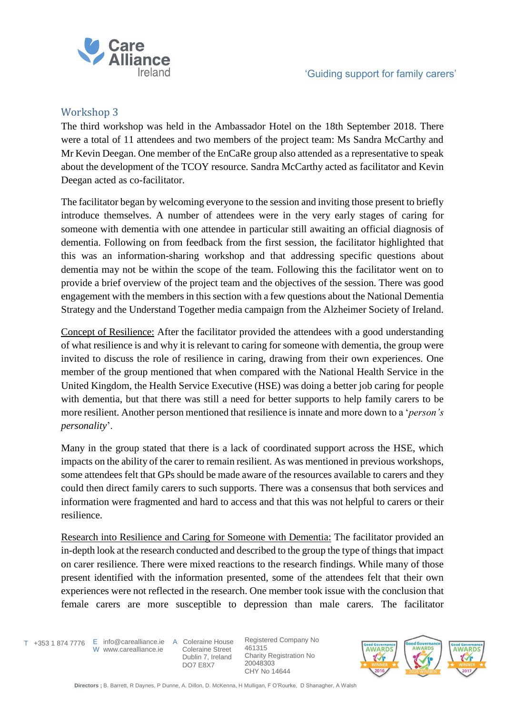

### Workshop 3

The third workshop was held in the Ambassador Hotel on the 18th September 2018. There were a total of 11 attendees and two members of the project team: Ms Sandra McCarthy and Mr Kevin Deegan. One member of the EnCaRe group also attended as a representative to speak about the development of the TCOY resource. Sandra McCarthy acted as facilitator and Kevin Deegan acted as co-facilitator.

The facilitator began by welcoming everyone to the session and inviting those present to briefly introduce themselves. A number of attendees were in the very early stages of caring for someone with dementia with one attendee in particular still awaiting an official diagnosis of dementia. Following on from feedback from the first session, the facilitator highlighted that this was an information-sharing workshop and that addressing specific questions about dementia may not be within the scope of the team. Following this the facilitator went on to provide a brief overview of the project team and the objectives of the session. There was good engagement with the members in this section with a few questions about the National Dementia Strategy and the Understand Together media campaign from the Alzheimer Society of Ireland.

Concept of Resilience: After the facilitator provided the attendees with a good understanding of what resilience is and why it is relevant to caring for someone with dementia, the group were invited to discuss the role of resilience in caring, drawing from their own experiences. One member of the group mentioned that when compared with the National Health Service in the United Kingdom, the Health Service Executive (HSE) was doing a better job caring for people with dementia, but that there was still a need for better supports to help family carers to be more resilient. Another person mentioned that resilience is innate and more down to a '*person's personality*'.

Many in the group stated that there is a lack of coordinated support across the HSE, which impacts on the ability of the carer to remain resilient. As was mentioned in previous workshops, some attendees felt that GPs should be made aware of the resources available to carers and they could then direct family carers to such supports. There was a consensus that both services and information were fragmented and hard to access and that this was not helpful to carers or their resilience.

Research into Resilience and Caring for Someone with Dementia: The facilitator provided an in-depth look at the research conducted and described to the group the type of things that impact on carer resilience. There were mixed reactions to the research findings. While many of those present identified with the information presented, some of the attendees felt that their own experiences were not reflected in the research. One member took issue with the conclusion that female carers are more susceptible to depression than male carers. The facilitator

W www.carealliance.ie

T +353 1 874 7776 E info@carealliance.ie A Coleraine House Coleraine Street Dublin 7, Ireland DO7 E8X7

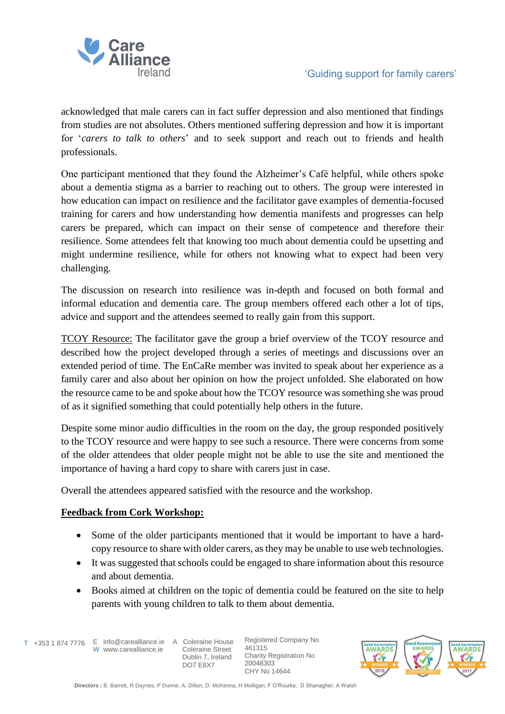

acknowledged that male carers can in fact suffer depression and also mentioned that findings from studies are not absolutes. Others mentioned suffering depression and how it is important for '*carers to talk to others*' and to seek support and reach out to friends and health professionals.

One participant mentioned that they found the Alzheimer's Café helpful, while others spoke about a dementia stigma as a barrier to reaching out to others. The group were interested in how education can impact on resilience and the facilitator gave examples of dementia-focused training for carers and how understanding how dementia manifests and progresses can help carers be prepared, which can impact on their sense of competence and therefore their resilience. Some attendees felt that knowing too much about dementia could be upsetting and might undermine resilience, while for others not knowing what to expect had been very challenging.

The discussion on research into resilience was in-depth and focused on both formal and informal education and dementia care. The group members offered each other a lot of tips, advice and support and the attendees seemed to really gain from this support.

TCOY Resource: The facilitator gave the group a brief overview of the TCOY resource and described how the project developed through a series of meetings and discussions over an extended period of time. The EnCaRe member was invited to speak about her experience as a family carer and also about her opinion on how the project unfolded. She elaborated on how the resource came to be and spoke about how the TCOY resource was something she was proud of as it signified something that could potentially help others in the future.

Despite some minor audio difficulties in the room on the day, the group responded positively to the TCOY resource and were happy to see such a resource. There were concerns from some of the older attendees that older people might not be able to use the site and mentioned the importance of having a hard copy to share with carers just in case.

Overall the attendees appeared satisfied with the resource and the workshop.

#### **Feedback from Cork Workshop:**

- Some of the older participants mentioned that it would be important to have a hardcopy resource to share with older carers, as they may be unable to use web technologies.
- It was suggested that schools could be engaged to share information about this resource and about dementia.
- Books aimed at children on the topic of dementia could be featured on the site to help parents with young children to talk to them about dementia.

T +353 1 874 7776 E info@carealliance.ie A Coleraine House W www.carealliance.ie

 Coleraine Street Dublin 7, Ireland DO7 E8X7

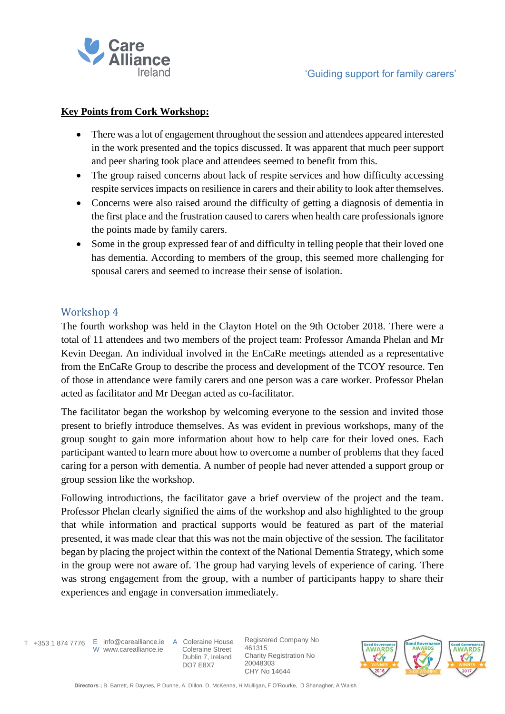

### **Key Points from Cork Workshop:**

- There was a lot of engagement throughout the session and attendees appeared interested in the work presented and the topics discussed. It was apparent that much peer support and peer sharing took place and attendees seemed to benefit from this.
- The group raised concerns about lack of respite services and how difficulty accessing respite services impacts on resilience in carers and their ability to look after themselves.
- Concerns were also raised around the difficulty of getting a diagnosis of dementia in the first place and the frustration caused to carers when health care professionals ignore the points made by family carers.
- Some in the group expressed fear of and difficulty in telling people that their loved one has dementia. According to members of the group, this seemed more challenging for spousal carers and seemed to increase their sense of isolation.

### Workshop 4

The fourth workshop was held in the Clayton Hotel on the 9th October 2018. There were a total of 11 attendees and two members of the project team: Professor Amanda Phelan and Mr Kevin Deegan. An individual involved in the EnCaRe meetings attended as a representative from the EnCaRe Group to describe the process and development of the TCOY resource. Ten of those in attendance were family carers and one person was a care worker. Professor Phelan acted as facilitator and Mr Deegan acted as co-facilitator.

The facilitator began the workshop by welcoming everyone to the session and invited those present to briefly introduce themselves. As was evident in previous workshops, many of the group sought to gain more information about how to help care for their loved ones. Each participant wanted to learn more about how to overcome a number of problems that they faced caring for a person with dementia. A number of people had never attended a support group or group session like the workshop.

Following introductions, the facilitator gave a brief overview of the project and the team. Professor Phelan clearly signified the aims of the workshop and also highlighted to the group that while information and practical supports would be featured as part of the material presented, it was made clear that this was not the main objective of the session. The facilitator began by placing the project within the context of the National Dementia Strategy, which some in the group were not aware of. The group had varying levels of experience of caring. There was strong engagement from the group, with a number of participants happy to share their experiences and engage in conversation immediately.

W www.carealliance.ie

T +353 1 874 7776 E info@carealliance.ie A Coleraine House Coleraine Street Dublin 7, Ireland DO7 E8X7

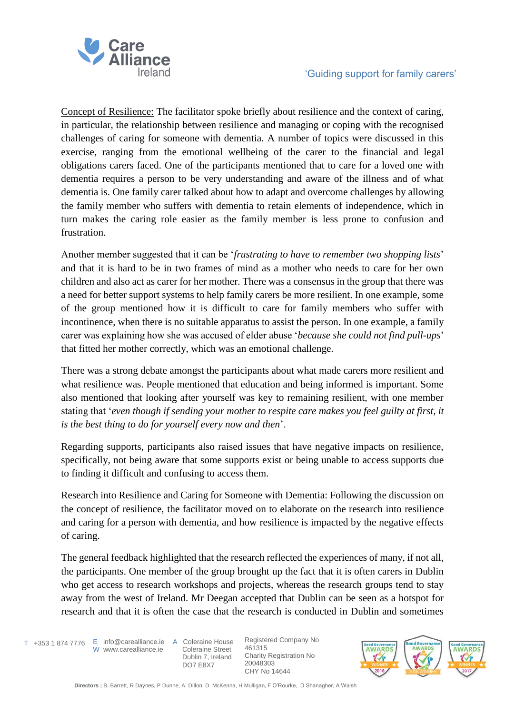

Concept of Resilience: The facilitator spoke briefly about resilience and the context of caring, in particular, the relationship between resilience and managing or coping with the recognised challenges of caring for someone with dementia. A number of topics were discussed in this exercise, ranging from the emotional wellbeing of the carer to the financial and legal obligations carers faced. One of the participants mentioned that to care for a loved one with dementia requires a person to be very understanding and aware of the illness and of what dementia is. One family carer talked about how to adapt and overcome challenges by allowing the family member who suffers with dementia to retain elements of independence, which in turn makes the caring role easier as the family member is less prone to confusion and frustration.

Another member suggested that it can be '*frustrating to have to remember two shopping lists*' and that it is hard to be in two frames of mind as a mother who needs to care for her own children and also act as carer for her mother. There was a consensus in the group that there was a need for better support systems to help family carers be more resilient. In one example, some of the group mentioned how it is difficult to care for family members who suffer with incontinence, when there is no suitable apparatus to assist the person. In one example, a family carer was explaining how she was accused of elder abuse '*because she could not find pull-ups*' that fitted her mother correctly, which was an emotional challenge.

There was a strong debate amongst the participants about what made carers more resilient and what resilience was. People mentioned that education and being informed is important. Some also mentioned that looking after yourself was key to remaining resilient, with one member stating that '*even though if sending your mother to respite care makes you feel guilty at first, it is the best thing to do for yourself every now and then*'.

Regarding supports, participants also raised issues that have negative impacts on resilience, specifically, not being aware that some supports exist or being unable to access supports due to finding it difficult and confusing to access them.

Research into Resilience and Caring for Someone with Dementia: Following the discussion on the concept of resilience, the facilitator moved on to elaborate on the research into resilience and caring for a person with dementia, and how resilience is impacted by the negative effects of caring.

The general feedback highlighted that the research reflected the experiences of many, if not all, the participants. One member of the group brought up the fact that it is often carers in Dublin who get access to research workshops and projects, whereas the research groups tend to stay away from the west of Ireland. Mr Deegan accepted that Dublin can be seen as a hotspot for research and that it is often the case that the research is conducted in Dublin and sometimes

T +353 1 874 7776 E info@carealliance.ie A Coleraine House W www.carealliance.ie

 Coleraine Street Dublin 7, Ireland DO7 E8X7

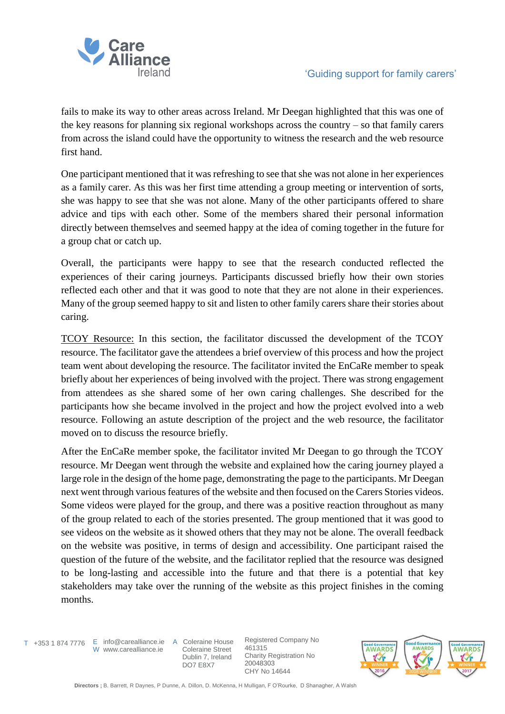

fails to make its way to other areas across Ireland. Mr Deegan highlighted that this was one of the key reasons for planning six regional workshops across the country – so that family carers from across the island could have the opportunity to witness the research and the web resource first hand.

One participant mentioned that it was refreshing to see that she was not alone in her experiences as a family carer. As this was her first time attending a group meeting or intervention of sorts, she was happy to see that she was not alone. Many of the other participants offered to share advice and tips with each other. Some of the members shared their personal information directly between themselves and seemed happy at the idea of coming together in the future for a group chat or catch up.

Overall, the participants were happy to see that the research conducted reflected the experiences of their caring journeys. Participants discussed briefly how their own stories reflected each other and that it was good to note that they are not alone in their experiences. Many of the group seemed happy to sit and listen to other family carers share their stories about caring.

TCOY Resource: In this section, the facilitator discussed the development of the TCOY resource. The facilitator gave the attendees a brief overview of this process and how the project team went about developing the resource. The facilitator invited the EnCaRe member to speak briefly about her experiences of being involved with the project. There was strong engagement from attendees as she shared some of her own caring challenges. She described for the participants how she became involved in the project and how the project evolved into a web resource. Following an astute description of the project and the web resource, the facilitator moved on to discuss the resource briefly.

After the EnCaRe member spoke, the facilitator invited Mr Deegan to go through the TCOY resource. Mr Deegan went through the website and explained how the caring journey played a large role in the design of the home page, demonstrating the page to the participants. Mr Deegan next went through various features of the website and then focused on the Carers Stories videos. Some videos were played for the group, and there was a positive reaction throughout as many of the group related to each of the stories presented. The group mentioned that it was good to see videos on the website as it showed others that they may not be alone. The overall feedback on the website was positive, in terms of design and accessibility. One participant raised the question of the future of the website, and the facilitator replied that the resource was designed to be long-lasting and accessible into the future and that there is a potential that key stakeholders may take over the running of the website as this project finishes in the coming months.

T +353 1 874 7776 E info@carealliance.ie A Coleraine House W www.carealliance.ie

 Coleraine Street Dublin 7, Ireland DO7 E8X7

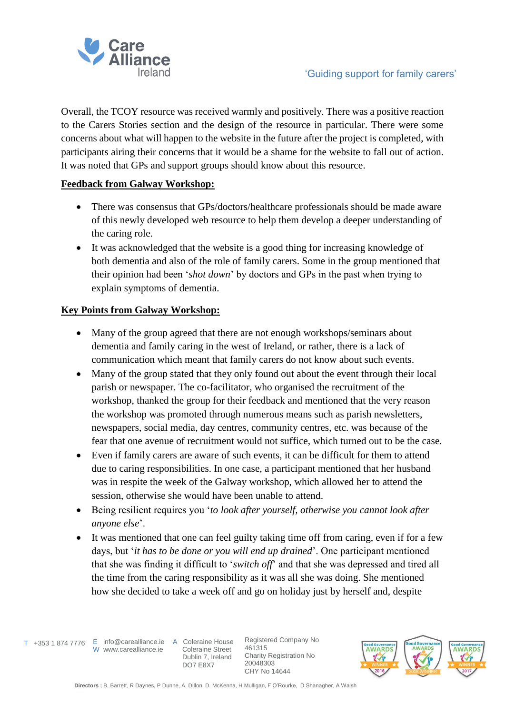

Overall, the TCOY resource was received warmly and positively. There was a positive reaction to the Carers Stories section and the design of the resource in particular. There were some concerns about what will happen to the website in the future after the project is completed, with participants airing their concerns that it would be a shame for the website to fall out of action. It was noted that GPs and support groups should know about this resource.

### **Feedback from Galway Workshop:**

- There was consensus that GPs/doctors/healthcare professionals should be made aware of this newly developed web resource to help them develop a deeper understanding of the caring role.
- It was acknowledged that the website is a good thing for increasing knowledge of both dementia and also of the role of family carers. Some in the group mentioned that their opinion had been '*shot down*' by doctors and GPs in the past when trying to explain symptoms of dementia.

### **Key Points from Galway Workshop:**

- Many of the group agreed that there are not enough workshops/seminars about dementia and family caring in the west of Ireland, or rather, there is a lack of communication which meant that family carers do not know about such events.
- Many of the group stated that they only found out about the event through their local parish or newspaper. The co-facilitator, who organised the recruitment of the workshop, thanked the group for their feedback and mentioned that the very reason the workshop was promoted through numerous means such as parish newsletters, newspapers, social media, day centres, community centres, etc. was because of the fear that one avenue of recruitment would not suffice, which turned out to be the case.
- Even if family carers are aware of such events, it can be difficult for them to attend due to caring responsibilities. In one case, a participant mentioned that her husband was in respite the week of the Galway workshop, which allowed her to attend the session, otherwise she would have been unable to attend.
- Being resilient requires you '*to look after yourself, otherwise you cannot look after anyone else*'.
- It was mentioned that one can feel guilty taking time off from caring, even if for a few days, but '*it has to be done or you will end up drained*'. One participant mentioned that she was finding it difficult to '*switch off*' and that she was depressed and tired all the time from the caring responsibility as it was all she was doing. She mentioned how she decided to take a week off and go on holiday just by herself and, despite

W www.carealliance.ie

T +353 1 874 7776 E info@carealliance.ie A Coleraine House Coleraine Street Dublin 7, Ireland DO7 E8X7

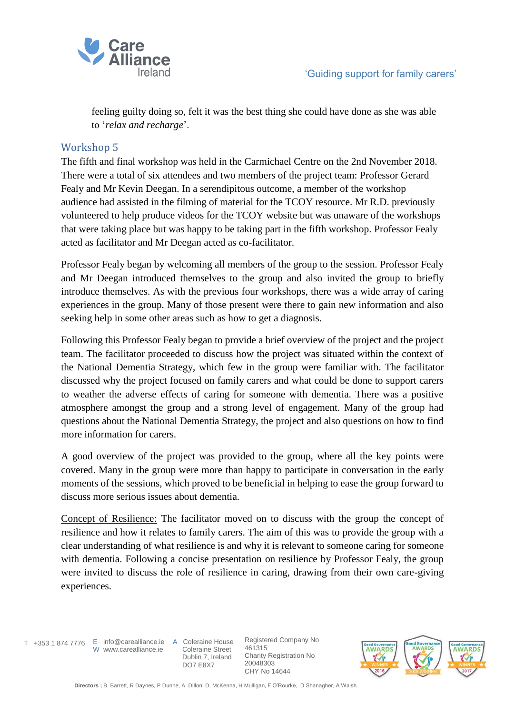

feeling guilty doing so, felt it was the best thing she could have done as she was able to '*relax and recharge*'.

### Workshop 5

The fifth and final workshop was held in the Carmichael Centre on the 2nd November 2018. There were a total of six attendees and two members of the project team: Professor Gerard Fealy and Mr Kevin Deegan. In a serendipitous outcome, a member of the workshop audience had assisted in the filming of material for the TCOY resource. Mr R.D. previously volunteered to help produce videos for the TCOY website but was unaware of the workshops that were taking place but was happy to be taking part in the fifth workshop. Professor Fealy acted as facilitator and Mr Deegan acted as co-facilitator.

Professor Fealy began by welcoming all members of the group to the session. Professor Fealy and Mr Deegan introduced themselves to the group and also invited the group to briefly introduce themselves. As with the previous four workshops, there was a wide array of caring experiences in the group. Many of those present were there to gain new information and also seeking help in some other areas such as how to get a diagnosis.

Following this Professor Fealy began to provide a brief overview of the project and the project team. The facilitator proceeded to discuss how the project was situated within the context of the National Dementia Strategy, which few in the group were familiar with. The facilitator discussed why the project focused on family carers and what could be done to support carers to weather the adverse effects of caring for someone with dementia. There was a positive atmosphere amongst the group and a strong level of engagement. Many of the group had questions about the National Dementia Strategy, the project and also questions on how to find more information for carers.

A good overview of the project was provided to the group, where all the key points were covered. Many in the group were more than happy to participate in conversation in the early moments of the sessions, which proved to be beneficial in helping to ease the group forward to discuss more serious issues about dementia.

Concept of Resilience: The facilitator moved on to discuss with the group the concept of resilience and how it relates to family carers. The aim of this was to provide the group with a clear understanding of what resilience is and why it is relevant to someone caring for someone with dementia. Following a concise presentation on resilience by Professor Fealy, the group were invited to discuss the role of resilience in caring, drawing from their own care-giving experiences.

T +353 1 874 7776 E info@carealliance.ie A Coleraine House W www.carealliance.ie

 Coleraine Street Dublin 7, Ireland DO7 E8X7

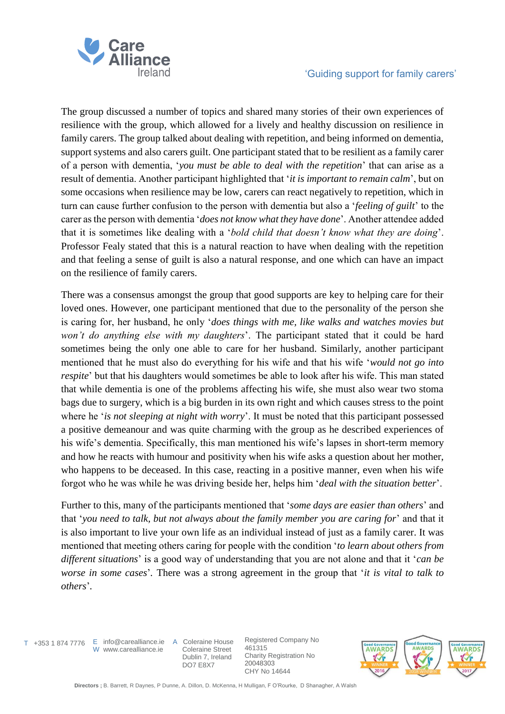

The group discussed a number of topics and shared many stories of their own experiences of resilience with the group, which allowed for a lively and healthy discussion on resilience in family carers. The group talked about dealing with repetition, and being informed on dementia, support systems and also carers guilt. One participant stated that to be resilient as a family carer of a person with dementia, '*you must be able to deal with the repetition*' that can arise as a result of dementia. Another participant highlighted that '*it is important to remain calm*', but on some occasions when resilience may be low, carers can react negatively to repetition, which in turn can cause further confusion to the person with dementia but also a '*feeling of guilt*' to the carer as the person with dementia '*does not know what they have done*'. Another attendee added that it is sometimes like dealing with a '*bold child that doesn't know what they are doing*'. Professor Fealy stated that this is a natural reaction to have when dealing with the repetition and that feeling a sense of guilt is also a natural response, and one which can have an impact on the resilience of family carers.

There was a consensus amongst the group that good supports are key to helping care for their loved ones. However, one participant mentioned that due to the personality of the person she is caring for, her husband, he only '*does things with me, like walks and watches movies but won't do anything else with my daughters*'. The participant stated that it could be hard sometimes being the only one able to care for her husband. Similarly, another participant mentioned that he must also do everything for his wife and that his wife '*would not go into respite*' but that his daughters would sometimes be able to look after his wife. This man stated that while dementia is one of the problems affecting his wife, she must also wear two stoma bags due to surgery, which is a big burden in its own right and which causes stress to the point where he '*is not sleeping at night with worry*'. It must be noted that this participant possessed a positive demeanour and was quite charming with the group as he described experiences of his wife's dementia. Specifically, this man mentioned his wife's lapses in short-term memory and how he reacts with humour and positivity when his wife asks a question about her mother, who happens to be deceased. In this case, reacting in a positive manner, even when his wife forgot who he was while he was driving beside her, helps him '*deal with the situation better*'.

Further to this, many of the participants mentioned that '*some days are easier than others*' and that '*you need to talk, but not always about the family member you are caring for*' and that it is also important to live your own life as an individual instead of just as a family carer. It was mentioned that meeting others caring for people with the condition '*to learn about others from different situations*' is a good way of understanding that you are not alone and that it '*can be worse in some cases*'*.* There was a strong agreement in the group that '*it is vital to talk to others*'*.*

T +353 1 874 7776

E info@carealliance.ie W www.carealliance.ie

A Coleraine House Coleraine Street Dublin 7, Ireland DO7 E8X7

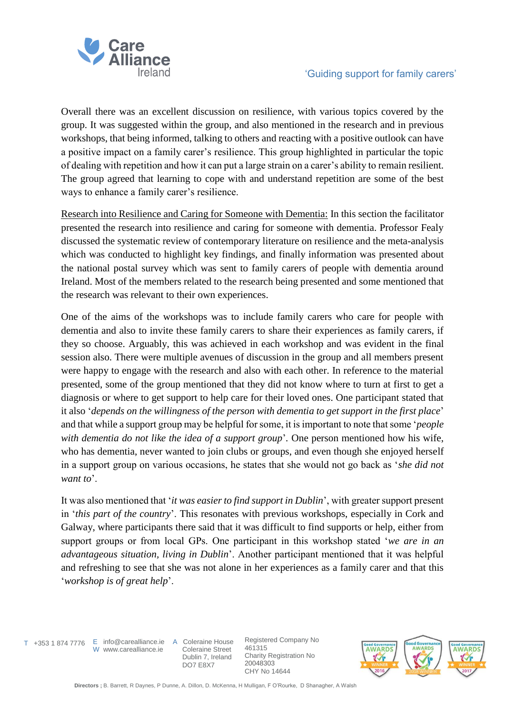

Overall there was an excellent discussion on resilience, with various topics covered by the group. It was suggested within the group, and also mentioned in the research and in previous workshops, that being informed, talking to others and reacting with a positive outlook can have a positive impact on a family carer's resilience. This group highlighted in particular the topic of dealing with repetition and how it can put a large strain on a carer's ability to remain resilient. The group agreed that learning to cope with and understand repetition are some of the best ways to enhance a family carer's resilience.

Research into Resilience and Caring for Someone with Dementia: In this section the facilitator presented the research into resilience and caring for someone with dementia. Professor Fealy discussed the systematic review of contemporary literature on resilience and the meta-analysis which was conducted to highlight key findings, and finally information was presented about the national postal survey which was sent to family carers of people with dementia around Ireland. Most of the members related to the research being presented and some mentioned that the research was relevant to their own experiences.

One of the aims of the workshops was to include family carers who care for people with dementia and also to invite these family carers to share their experiences as family carers, if they so choose. Arguably, this was achieved in each workshop and was evident in the final session also. There were multiple avenues of discussion in the group and all members present were happy to engage with the research and also with each other. In reference to the material presented, some of the group mentioned that they did not know where to turn at first to get a diagnosis or where to get support to help care for their loved ones. One participant stated that it also '*depends on the willingness of the person with dementia to get support in the first place*' and that while a support group may be helpful for some, it is important to note that some '*people with dementia do not like the idea of a support group*'*.* One person mentioned how his wife, who has dementia, never wanted to join clubs or groups, and even though she enjoyed herself in a support group on various occasions, he states that she would not go back as '*she did not want to*'.

It was also mentioned that '*it was easier to find support in Dublin*', with greater support present in '*this part of the country*'. This resonates with previous workshops, especially in Cork and Galway, where participants there said that it was difficult to find supports or help, either from support groups or from local GPs. One participant in this workshop stated '*we are in an advantageous situation, living in Dublin*'. Another participant mentioned that it was helpful and refreshing to see that she was not alone in her experiences as a family carer and that this '*workshop is of great help*'.

T +353 1 874 7776 E info@carealliance.ie A Coleraine House W www.carealliance.ie

 Coleraine Street Dublin 7, Ireland DO7 E8X7

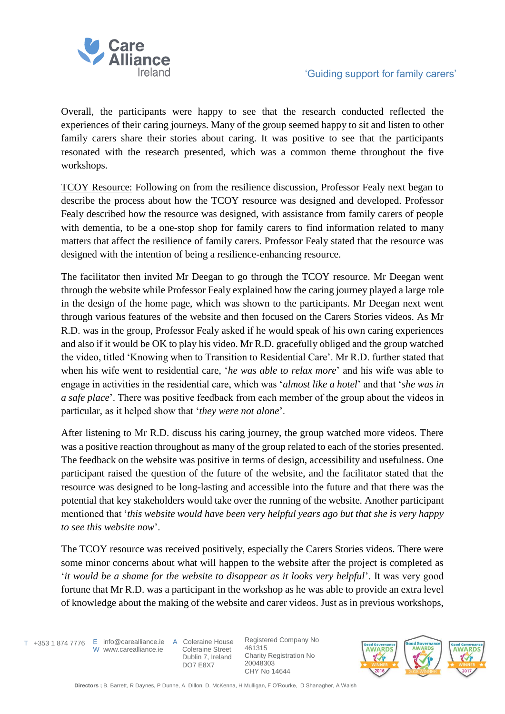

Overall, the participants were happy to see that the research conducted reflected the experiences of their caring journeys. Many of the group seemed happy to sit and listen to other family carers share their stories about caring. It was positive to see that the participants resonated with the research presented, which was a common theme throughout the five workshops.

TCOY Resource: Following on from the resilience discussion, Professor Fealy next began to describe the process about how the TCOY resource was designed and developed. Professor Fealy described how the resource was designed, with assistance from family carers of people with dementia, to be a one-stop shop for family carers to find information related to many matters that affect the resilience of family carers. Professor Fealy stated that the resource was designed with the intention of being a resilience-enhancing resource.

The facilitator then invited Mr Deegan to go through the TCOY resource. Mr Deegan went through the website while Professor Fealy explained how the caring journey played a large role in the design of the home page, which was shown to the participants. Mr Deegan next went through various features of the website and then focused on the Carers Stories videos. As Mr R.D. was in the group, Professor Fealy asked if he would speak of his own caring experiences and also if it would be OK to play his video. Mr R.D. gracefully obliged and the group watched the video, titled 'Knowing when to Transition to Residential Care'. Mr R.D. further stated that when his wife went to residential care, '*he was able to relax more*' and his wife was able to engage in activities in the residential care, which was '*almost like a hotel*' and that '*she was in a safe place*'. There was positive feedback from each member of the group about the videos in particular, as it helped show that '*they were not alone*'.

After listening to Mr R.D. discuss his caring journey, the group watched more videos. There was a positive reaction throughout as many of the group related to each of the stories presented. The feedback on the website was positive in terms of design, accessibility and usefulness. One participant raised the question of the future of the website, and the facilitator stated that the resource was designed to be long-lasting and accessible into the future and that there was the potential that key stakeholders would take over the running of the website. Another participant mentioned that '*this website would have been very helpful years ago but that she is very happy to see this website now*'.

The TCOY resource was received positively, especially the Carers Stories videos. There were some minor concerns about what will happen to the website after the project is completed as '*it would be a shame for the website to disappear as it looks very helpful*'. It was very good fortune that Mr R.D. was a participant in the workshop as he was able to provide an extra level of knowledge about the making of the website and carer videos. Just as in previous workshops,

T +353 1 874 7776 E info@carealliance.ie A Coleraine House W www.carealliance.ie

 Coleraine Street Dublin 7, Ireland DO7 E8X7

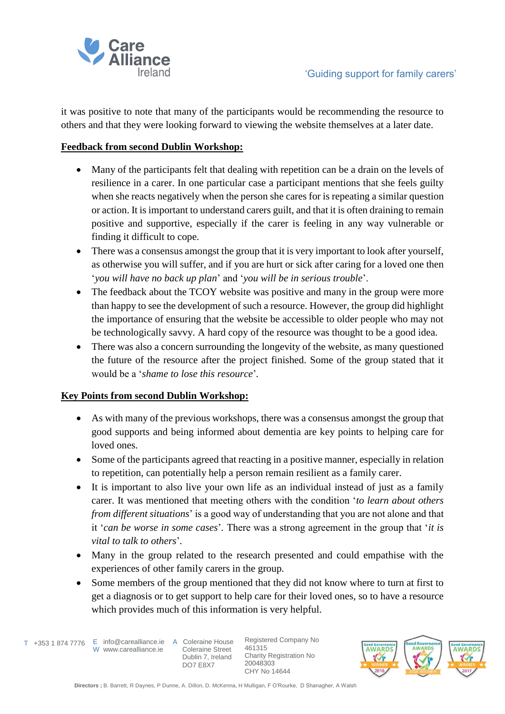

it was positive to note that many of the participants would be recommending the resource to others and that they were looking forward to viewing the website themselves at a later date.

#### **Feedback from second Dublin Workshop:**

- Many of the participants felt that dealing with repetition can be a drain on the levels of resilience in a carer. In one particular case a participant mentions that she feels guilty when she reacts negatively when the person she cares for is repeating a similar question or action. It is important to understand carers guilt, and that it is often draining to remain positive and supportive, especially if the carer is feeling in any way vulnerable or finding it difficult to cope.
- There was a consensus amongst the group that it is very important to look after yourself, as otherwise you will suffer, and if you are hurt or sick after caring for a loved one then '*you will have no back up plan*' and '*you will be in serious trouble*'.
- The feedback about the TCOY website was positive and many in the group were more than happy to see the development of such a resource. However, the group did highlight the importance of ensuring that the website be accessible to older people who may not be technologically savvy. A hard copy of the resource was thought to be a good idea.
- There was also a concern surrounding the longevity of the website, as many questioned the future of the resource after the project finished. Some of the group stated that it would be a '*shame to lose this resource*'*.*

#### **Key Points from second Dublin Workshop:**

- As with many of the previous workshops, there was a consensus amongst the group that good supports and being informed about dementia are key points to helping care for loved ones.
- Some of the participants agreed that reacting in a positive manner, especially in relation to repetition, can potentially help a person remain resilient as a family carer.
- It is important to also live your own life as an individual instead of just as a family carer. It was mentioned that meeting others with the condition '*to learn about others from different situations*' is a good way of understanding that you are not alone and that it '*can be worse in some cases*'*.* There was a strong agreement in the group that '*it is vital to talk to others*'*.*
- Many in the group related to the research presented and could empathise with the experiences of other family carers in the group.
- Some members of the group mentioned that they did not know where to turn at first to get a diagnosis or to get support to help care for their loved ones, so to have a resource which provides much of this information is very helpful.

T +353 1 874 7776 E info@carealliance.ie A Coleraine House W www.carealliance.ie

 Coleraine Street Dublin 7, Ireland DO7 E8X7

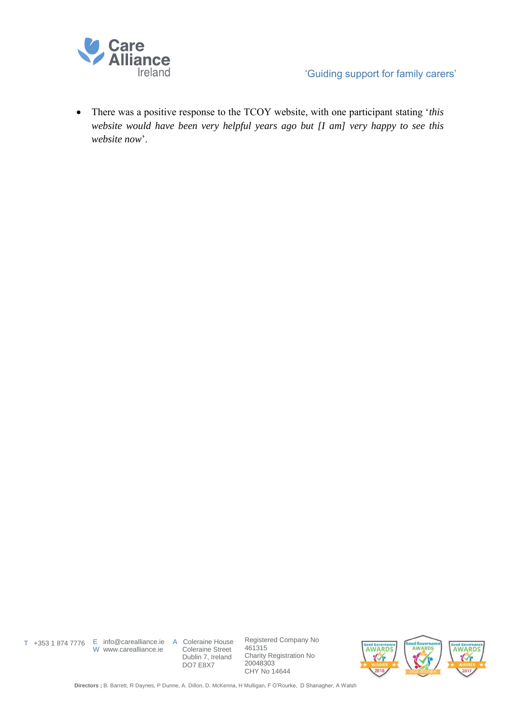

• There was a positive response to the TCOY website, with one participant stating '*this website would have been very helpful years ago but [I am] very happy to see this website now*'.

W www.carealliance.ie

T +353 1 874 7776 E info@carealliance.ie A Coleraine House Coleraine Street Dublin 7, Ireland DO7 E8X7

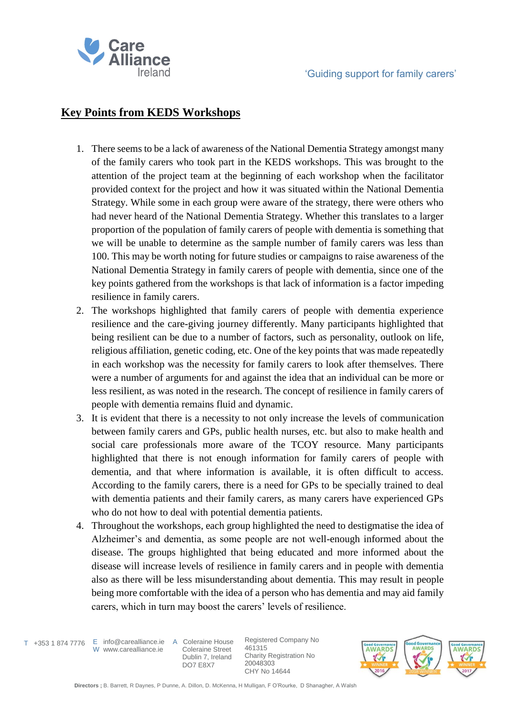

# **Key Points from KEDS Workshops**

- 1. There seems to be a lack of awareness of the National Dementia Strategy amongst many of the family carers who took part in the KEDS workshops. This was brought to the attention of the project team at the beginning of each workshop when the facilitator provided context for the project and how it was situated within the National Dementia Strategy. While some in each group were aware of the strategy, there were others who had never heard of the National Dementia Strategy. Whether this translates to a larger proportion of the population of family carers of people with dementia is something that we will be unable to determine as the sample number of family carers was less than 100. This may be worth noting for future studies or campaigns to raise awareness of the National Dementia Strategy in family carers of people with dementia, since one of the key points gathered from the workshops is that lack of information is a factor impeding resilience in family carers.
- 2. The workshops highlighted that family carers of people with dementia experience resilience and the care-giving journey differently. Many participants highlighted that being resilient can be due to a number of factors, such as personality, outlook on life, religious affiliation, genetic coding, etc. One of the key points that was made repeatedly in each workshop was the necessity for family carers to look after themselves. There were a number of arguments for and against the idea that an individual can be more or less resilient, as was noted in the research. The concept of resilience in family carers of people with dementia remains fluid and dynamic.
- 3. It is evident that there is a necessity to not only increase the levels of communication between family carers and GPs, public health nurses, etc. but also to make health and social care professionals more aware of the TCOY resource. Many participants highlighted that there is not enough information for family carers of people with dementia, and that where information is available, it is often difficult to access. According to the family carers, there is a need for GPs to be specially trained to deal with dementia patients and their family carers, as many carers have experienced GPs who do not how to deal with potential dementia patients.
- 4. Throughout the workshops, each group highlighted the need to destigmatise the idea of Alzheimer's and dementia, as some people are not well-enough informed about the disease. The groups highlighted that being educated and more informed about the disease will increase levels of resilience in family carers and in people with dementia also as there will be less misunderstanding about dementia. This may result in people being more comfortable with the idea of a person who has dementia and may aid family carers, which in turn may boost the carers' levels of resilience.

W www.carealliance.ie

T +353 1 874 7776 E info@carealliance.ie A Coleraine House Coleraine Street Dublin 7, Ireland DO7 E8X7